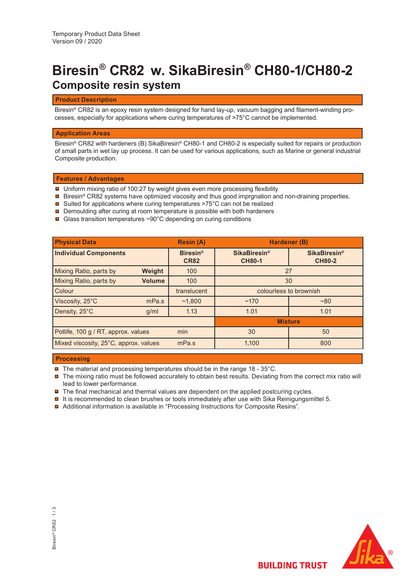# **Biresin® CR82 w. SikaBiresin® CH80-1/CH80-2 Composite resin system**

# **Product Description**

Biresin® CR82 is an epoxy resin system designed for hand lay-up, vacuum bagging and filament-winding processes, especially for applications where curing temperatures of >75°C cannot be implemented.

# **Application Areas**

Biresin® CR82 with hardeners (B) SikaBiresin® CH80-1 and CH80-2 is especially suited for repairs or production of small parts in wet lay up process. It can be used for various applications, such as Marine or general industrial Composite production.

## **Features / Advantages**

- Uniform mixing ratio of 100:27 by weight gives even more processing flexibility
- Biresin® CR82 systems have optimized viscosity and thus good imprgnation and non-draining properties.
- Suited for applications where curing temperatures >75°C can not be realized
- **□** Demoulding after curing at room temperature is possible with both hardeners
- Glass transition temperatures ~90°C depending on curing conditions

| <b>Physical Data</b>                       |               | <b>Resin (A)</b>               | Hardener (B)                         |                                                 |  |
|--------------------------------------------|---------------|--------------------------------|--------------------------------------|-------------------------------------------------|--|
| <b>Individual Components</b>               |               | <b>Biresin®</b><br><b>CR82</b> | <b>SikaBiresin®</b><br><b>CH80-1</b> | <b>SikaBiresin<sup>®</sup></b><br><b>CH80-2</b> |  |
| Mixing Ratio, parts by                     | <b>Weight</b> | 100                            | 27                                   |                                                 |  |
| Mixing Ratio, parts by                     | <b>Volume</b> | 100                            | 30                                   |                                                 |  |
| Colour                                     |               | translucent                    | colourless to brownish               |                                                 |  |
| Viscosity, 25°C                            | mPa.s         | ~1,800                         | ~170                                 | ~80                                             |  |
| Density, 25°C                              | q/ml          | 1.13                           | 1.01                                 | 1.01                                            |  |
|                                            |               |                                | <b>Mixture</b>                       |                                                 |  |
| min<br>Potlife, 100 g / RT, approx. values |               |                                | 30                                   | 50                                              |  |
| Mixed viscosity, 25°C, approx. values      |               | mPa.s                          | 1,100                                | 800                                             |  |

## **Processing**

- The material and processing temperatures should be in the range 18 35°C.
- The mixing ratio must be followed accurately to obtain best results. Deviating from the correct mix ratio will lead to lower performance.
- $\blacksquare$  The final mechanical and thermal values are dependent on the applied postcuring cycles.
- $\blacksquare$  It is recommended to clean brushes or tools immediately after use with Sika Reinigungsmittel 5.
- Additional information is available in "Processing Instructions for Composite Resins".

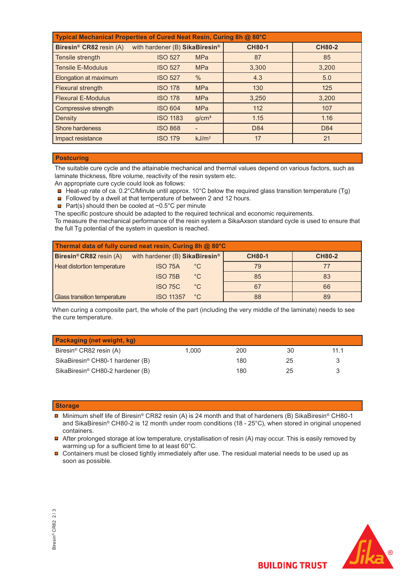| Typical Mechanical Properties of Cured Neat Resin, Curing 8h @ 80°C |                                |                   |               |               |  |  |
|---------------------------------------------------------------------|--------------------------------|-------------------|---------------|---------------|--|--|
| Biresin <sup>®</sup> CR82 resin (A)                                 | with hardener (B) SikaBiresin® |                   | <b>CH80-1</b> | <b>CH80-2</b> |  |  |
| Tensile strength                                                    | <b>ISO 527</b>                 | <b>MPa</b>        | 87            | 85            |  |  |
| <b>Tensile E-Modulus</b>                                            | <b>ISO 527</b>                 | <b>MPa</b>        | 3,300         | 3,200         |  |  |
| Elongation at maximum                                               | <b>ISO 527</b>                 | $\frac{0}{0}$     | 4.3           | 5.0           |  |  |
| Flexural strength                                                   | <b>ISO 178</b>                 | <b>MPa</b>        | 130           | 125           |  |  |
| <b>Flexural E-Modulus</b>                                           | <b>ISO 178</b>                 | <b>MPa</b>        | 3,250         | 3.200         |  |  |
| Compressive strength                                                | <b>ISO 604</b>                 | <b>MPa</b>        | 112           | 107           |  |  |
| Density                                                             | <b>ISO 1183</b>                | g/cm <sup>3</sup> | 1.15          | 1.16          |  |  |
| <b>Shore hardeness</b>                                              | <b>ISO 868</b>                 |                   | D84           | D84           |  |  |
| Impact resistance                                                   | <b>ISO 179</b>                 | kJ/m <sup>2</sup> | 17            | 21            |  |  |

## **Postcuring**

The suitable cure cycle and the attainable mechanical and thermal values depend on various factors, such as laminate thickness, fibre volume, reactivity of the resin system etc.

- An appropriate cure cycle could look as follows:
- $\blacksquare$  Heat-up rate of ca. 0.2°C/Minute until approx. 10°C below the required glass transition temperature (Tg)
- Followed by a dwell at that temperature of between 2 and 12 hours.
- **Part(s)** should then be cooled at  $\sim 0.5^{\circ}$ C per minute

The specific postcure should be adapted to the required technical and economic requirements.

To measure the mechanical performance of the resin system a SikaAxson standard cycle is used to ensure that the full Tg potential of the system in question is reached.

| Thermal data of fully cured neat resin, Curing 8h @ 80°C |                                            |              |               |               |  |  |  |
|----------------------------------------------------------|--------------------------------------------|--------------|---------------|---------------|--|--|--|
| Biresin <sup>®</sup> CR82 resin (A)                      | with hardener (B) SikaBiresin <sup>®</sup> |              | <b>CH80-1</b> | <b>CH80-2</b> |  |  |  |
| Heat distortion temperature                              | <b>ISO 75A</b>                             | $^{\circ}$ C | 79            | 77            |  |  |  |
|                                                          | <b>ISO 75B</b>                             | $^{\circ}$ C | 85            | 83            |  |  |  |
|                                                          | <b>ISO 75C</b>                             | $^{\circ}$ C | 67            | 66            |  |  |  |
| Glass transition temperature                             | <b>ISO 11357</b>                           | $^{\circ}$ C | 88            | 89            |  |  |  |

When curing a composite part, the whole of the part (including the very middle of the laminate) needs to see the cure temperature.

| <b>Packaging (net weight, kg)</b>            |       |     |    |      |  |  |
|----------------------------------------------|-------|-----|----|------|--|--|
| Biresin <sup>®</sup> CR82 resin (A)          | 1.000 | 200 | 30 | 11.1 |  |  |
| SikaBiresin <sup>®</sup> CH80-1 hardener (B) |       | 180 | 25 |      |  |  |
| SikaBiresin <sup>®</sup> CH80-2 hardener (B) |       | 180 | 25 |      |  |  |

## **Storage**

- Minimum shelf life of Biresin® CR82 resin (A) is 24 month and that of hardeners (B) SikaBiresin® CH80-1 and SikaBiresin® CH80-2 is 12 month under room conditions (18 - 25°C), when stored in original unopened containers.
- After prolonged storage at low temperature, crystallisation of resin (A) may occur. This is easily removed by warming up for a sufficient time to at least 60°C.
- Containers must be closed tightly immediately after use. The residual material needs to be used up as soon as possible.